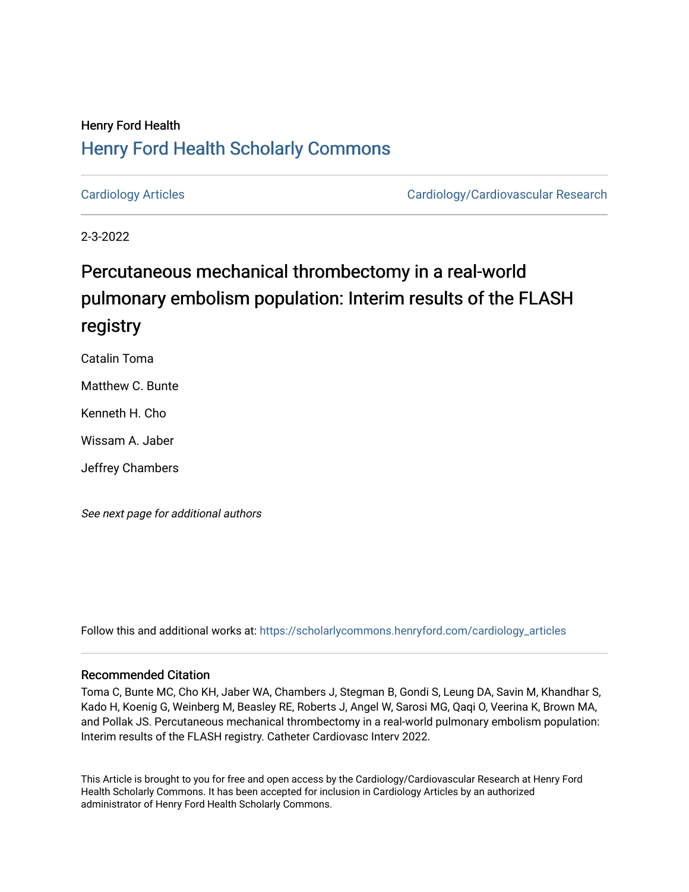## Henry Ford Health [Henry Ford Health Scholarly Commons](https://scholarlycommons.henryford.com/)

[Cardiology Articles](https://scholarlycommons.henryford.com/cardiology_articles) [Cardiology/Cardiovascular Research](https://scholarlycommons.henryford.com/cardiology) 

2-3-2022

# Percutaneous mechanical thrombectomy in a real-world pulmonary embolism population: Interim results of the FLASH registry

Catalin Toma

Matthew C. Bunte

Kenneth H. Cho

Wissam A. Jaber

Jeffrey Chambers

See next page for additional authors

Follow this and additional works at: [https://scholarlycommons.henryford.com/cardiology\\_articles](https://scholarlycommons.henryford.com/cardiology_articles?utm_source=scholarlycommons.henryford.com%2Fcardiology_articles%2F890&utm_medium=PDF&utm_campaign=PDFCoverPages)

## Recommended Citation

Toma C, Bunte MC, Cho KH, Jaber WA, Chambers J, Stegman B, Gondi S, Leung DA, Savin M, Khandhar S, Kado H, Koenig G, Weinberg M, Beasley RE, Roberts J, Angel W, Sarosi MG, Qaqi O, Veerina K, Brown MA, and Pollak JS. Percutaneous mechanical thrombectomy in a real-world pulmonary embolism population: Interim results of the FLASH registry. Catheter Cardiovasc Interv 2022.

This Article is brought to you for free and open access by the Cardiology/Cardiovascular Research at Henry Ford Health Scholarly Commons. It has been accepted for inclusion in Cardiology Articles by an authorized administrator of Henry Ford Health Scholarly Commons.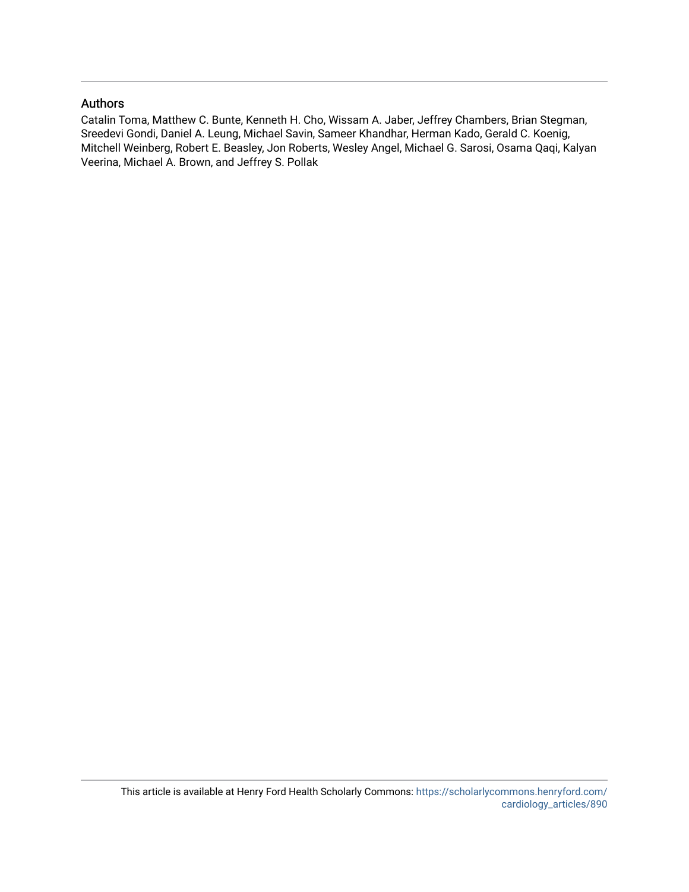## Authors

Catalin Toma, Matthew C. Bunte, Kenneth H. Cho, Wissam A. Jaber, Jeffrey Chambers, Brian Stegman, Sreedevi Gondi, Daniel A. Leung, Michael Savin, Sameer Khandhar, Herman Kado, Gerald C. Koenig, Mitchell Weinberg, Robert E. Beasley, Jon Roberts, Wesley Angel, Michael G. Sarosi, Osama Qaqi, Kalyan Veerina, Michael A. Brown, and Jeffrey S. Pollak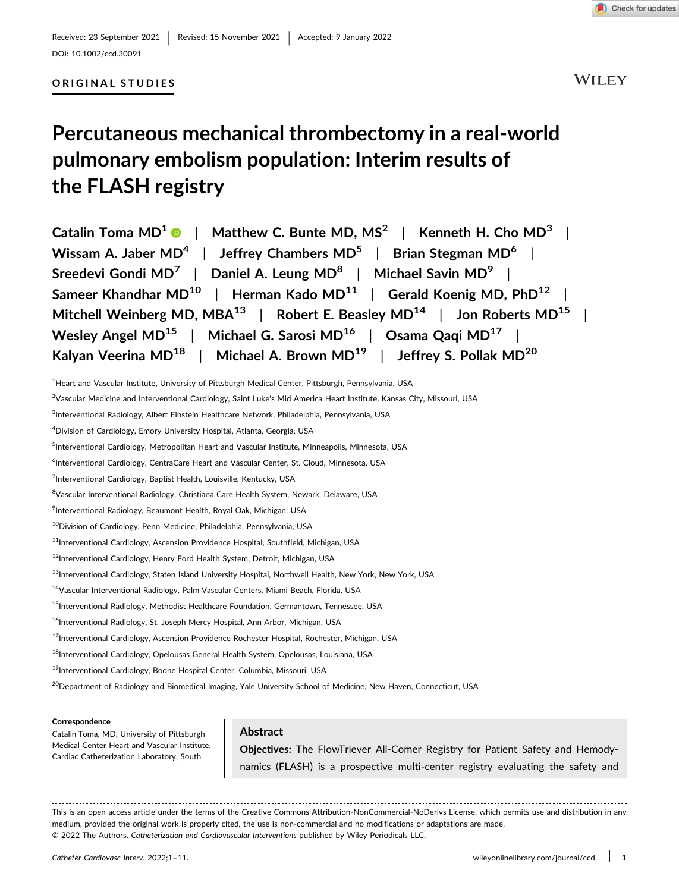

#### ORIGINAL STUDIES

**WILEY** 

# Percutaneous mechanical thrombectomy in a real‐world pulmonary embolism population: Interim results of the FLASH registry

Catalin Toma MD<sup>1</sup>  $\bullet$  | Matthew C. Bunte MD, MS<sup>2</sup> | Kenneth H. Cho MD<sup>3</sup> | Wissam A. Jaber  $MD^4$  | Jeffrey Chambers  $MD^5$  | Brian Stegman  $MD^6$  | Sreedevi Gondi MD<sup>7</sup> | Daniel A. Leung MD<sup>8</sup> | Michael Savin MD<sup>9</sup> | Sameer Khandhar MD<sup>10</sup> | Herman Kado MD<sup>11</sup> | Gerald Koenig MD, PhD<sup>12</sup> Mitchell Weinberg MD, MBA<sup>13</sup> | Robert E. Beasley MD<sup>14</sup> | Jon Roberts MD<sup>15</sup> | Wesley Angel MD<sup>15</sup> | Michael G. Sarosi MD<sup>16</sup> | Osama Qaqi MD<sup>17</sup> | Kalyan Veerina MD<sup>18</sup> | Michael A. Brown MD<sup>19</sup> | Jeffrey S. Pollak MD<sup>20</sup>

<sup>1</sup>Heart and Vascular Institute, University of Pittsburgh Medical Center, Pittsburgh, Pennsylvania, USA

<sup>2</sup>Vascular Medicine and Interventional Cardiology, Saint Luke's Mid America Heart Institute, Kansas City, Missouri, USA

<sup>3</sup>Interventional Radiology, Albert Einstein Healthcare Network, Philadelphia, Pennsylvania, USA

4 Division of Cardiology, Emory University Hospital, Atlanta, Georgia, USA

<sup>5</sup>Interventional Cardiology, Metropolitan Heart and Vascular Institute, Minneapolis, Minnesota, USA

6 Interventional Cardiology, CentraCare Heart and Vascular Center, St. Cloud, Minnesota, USA

<sup>7</sup>Interventional Cardiology, Baptist Health, Louisville, Kentucky, USA

<sup>8</sup>Vascular Interventional Radiology, Christiana Care Health System, Newark, Delaware, USA

9 Interventional Radiology, Beaumont Health, Royal Oak, Michigan, USA

10Division of Cardiology, Penn Medicine, Philadelphia, Pennsylvania, USA

 $^{11}$ Interventional Cardiology, Ascension Providence Hospital, Southfield, Michigan, USA

12Interventional Cardiology, Henry Ford Health System, Detroit, Michigan, USA

<sup>13</sup>Interventional Cardiology, Staten Island University Hospital, Northwell Health, New York, New York, USA

14Vascular Interventional Radiology, Palm Vascular Centers, Miami Beach, Florida, USA

<sup>15</sup>Interventional Radiology, Methodist Healthcare Foundation, Germantown, Tennessee, USA

<sup>16</sup>Interventional Radiology, St. Joseph Mercy Hospital, Ann Arbor, Michigan, USA

<sup>17</sup>Interventional Cardiology, Ascension Providence Rochester Hospital, Rochester, Michigan, USA

<sup>18</sup>Interventional Cardiology, Opelousas General Health System, Opelousas, Louisiana, USA

19Interventional Cardiology, Boone Hospital Center, Columbia, Missouri, USA

<sup>20</sup>Department of Radiology and Biomedical Imaging, Yale University School of Medicine, New Haven, Connecticut, USA

#### Correspondence

Catalin Toma, MD, University of Pittsburgh Medical Center Heart and Vascular Institute, Cardiac Catheterization Laboratory, South

### Abstract

Objectives: The FlowTriever All‐Comer Registry for Patient Safety and Hemodynamics (FLASH) is a prospective multi-center registry evaluating the safety and

This is an open access article under the terms of the Creative Commons Attribution‐NonCommercial‐NoDerivs License, which permits use and distribution in any medium, provided the original work is properly cited, the use is non‐commercial and no modifications or adaptations are made. © 2022 The Authors. Catheterization and Cardiovascular Interventions published by Wiley Periodicals LLC.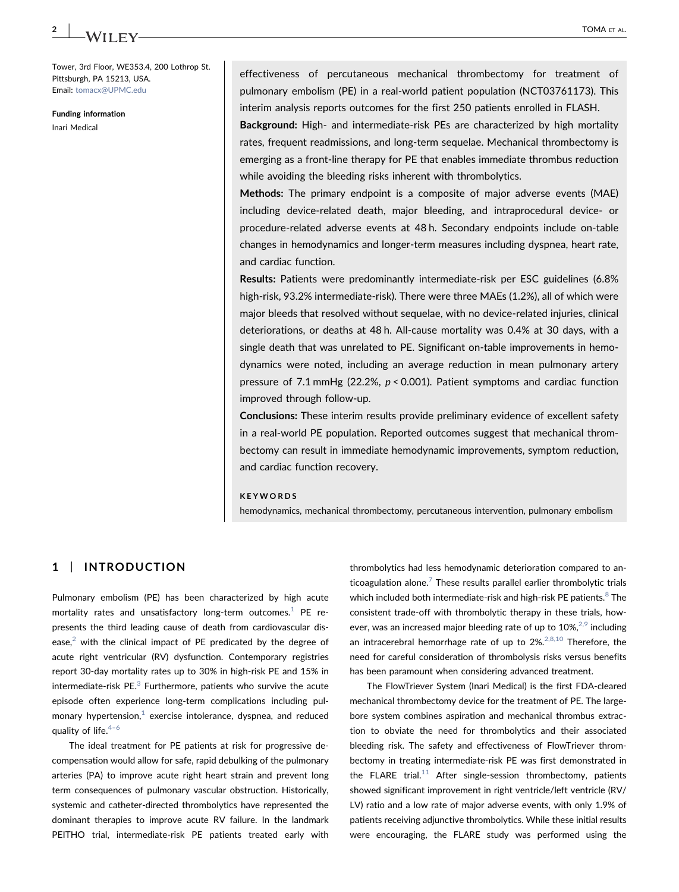Tower, 3rd Floor, WE353.4, 200 Lothrop St. Pittsburgh, PA 15213, USA. Email: [tomacx@UPMC.edu](mailto:tomacx@UPMC.edu)

Funding information Inari Medical

effectiveness of percutaneous mechanical thrombectomy for treatment of pulmonary embolism (PE) in a real-world patient population (NCT03761173). This interim analysis reports outcomes for the first 250 patients enrolled in FLASH.

Background: High- and intermediate-risk PEs are characterized by high mortality rates, frequent readmissions, and long-term sequelae. Mechanical thrombectomy is emerging as a front‐line therapy for PE that enables immediate thrombus reduction while avoiding the bleeding risks inherent with thrombolytics.

Methods: The primary endpoint is a composite of major adverse events (MAE) including device‐related death, major bleeding, and intraprocedural device‐ or procedure‐related adverse events at 48 h. Secondary endpoints include on‐table changes in hemodynamics and longer‐term measures including dyspnea, heart rate, and cardiac function.

Results: Patients were predominantly intermediate‐risk per ESC guidelines (6.8% high-risk, 93.2% intermediate-risk). There were three MAEs (1.2%), all of which were major bleeds that resolved without sequelae, with no device‐related injuries, clinical deteriorations, or deaths at 48 h. All‐cause mortality was 0.4% at 30 days, with a single death that was unrelated to PE. Significant on-table improvements in hemodynamics were noted, including an average reduction in mean pulmonary artery pressure of 7.1 mmHg (22.2%, p < 0.001). Patient symptoms and cardiac function improved through follow‐up.

Conclusions: These interim results provide preliminary evidence of excellent safety in a real‐world PE population. Reported outcomes suggest that mechanical thrombectomy can result in immediate hemodynamic improvements, symptom reduction, and cardiac function recovery.

#### **KEYWORDS**

hemodynamics, mechanical thrombectomy, percutaneous intervention, pulmonary embolism

#### 1 | INTRODUCTION

Pulmonary embolism (PE) has been characterized by high acute mortality rates and unsatisfactory long-term outcomes. $1$  PE represents the third leading cause of death from cardiovascular disease, $<sup>2</sup>$  with the clinical impact of PE predicated by the degree of</sup> acute right ventricular (RV) dysfunction. Contemporary registries report 30‐day mortality rates up to 30% in high‐risk PE and 15% in intermediate-risk PE $<sup>3</sup>$  $<sup>3</sup>$  $<sup>3</sup>$  Furthermore, patients who survive the acute</sup> episode often experience long‐term complications including pulmonary hypertension, $<sup>1</sup>$  $<sup>1</sup>$  $<sup>1</sup>$  exercise intolerance, dyspnea, and reduced</sup> quality of life. $4-6$  $4-6$ 

The ideal treatment for PE patients at risk for progressive decompensation would allow for safe, rapid debulking of the pulmonary arteries (PA) to improve acute right heart strain and prevent long term consequences of pulmonary vascular obstruction. Historically, systemic and catheter‐directed thrombolytics have represented the dominant therapies to improve acute RV failure. In the landmark PEITHO trial, intermediate-risk PE patients treated early with

thrombolytics had less hemodynamic deterioration compared to anticoagulation alone. $<sup>7</sup>$  $<sup>7</sup>$  $<sup>7</sup>$  These results parallel earlier thrombolytic trials</sup> which included both intermediate-risk and high-risk PE patients.<sup>[8](#page-11-5)</sup> The consistent trade‐off with thrombolytic therapy in these trials, however, was an increased major bleeding rate of up to  $10\%,^{2,9}$  $10\%,^{2,9}$  $10\%,^{2,9}$  including an intracerebral hemorrhage rate of up to  $2\%$ .<sup>[2,8,10](#page-11-1)</sup> Therefore, the need for careful consideration of thrombolysis risks versus benefits has been paramount when considering advanced treatment.

The FlowTriever System (Inari Medical) is the first FDA‐cleared mechanical thrombectomy device for the treatment of PE. The largebore system combines aspiration and mechanical thrombus extraction to obviate the need for thrombolytics and their associated bleeding risk. The safety and effectiveness of FlowTriever thrombectomy in treating intermediate‐risk PE was first demonstrated in the FLARE trial.<sup>[11](#page-11-6)</sup> After single-session thrombectomy, patients showed significant improvement in right ventricle/left ventricle (RV/ LV) ratio and a low rate of major adverse events, with only 1.9% of patients receiving adjunctive thrombolytics. While these initial results were encouraging, the FLARE study was performed using the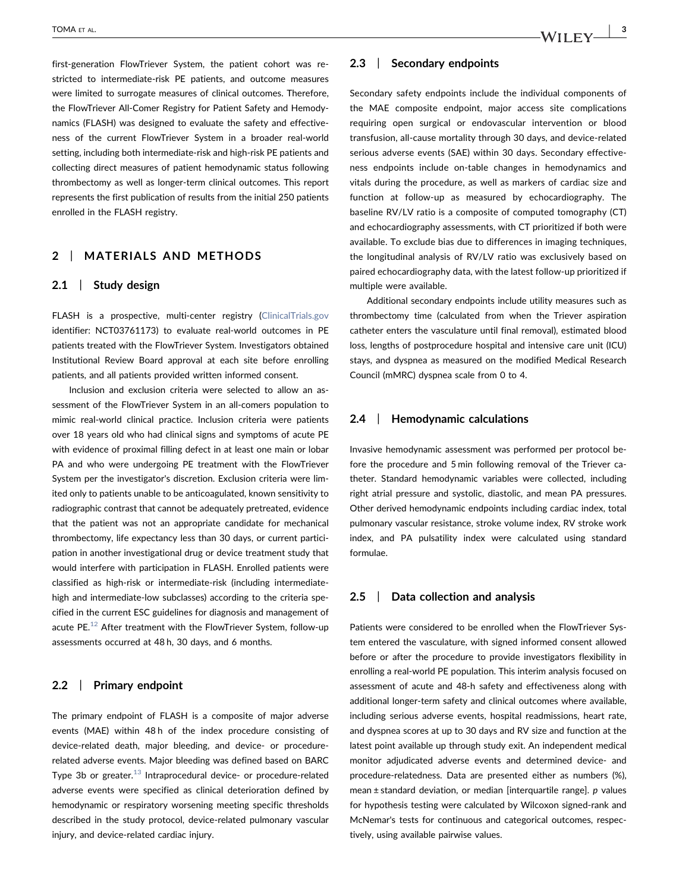first-generation FlowTriever System, the patient cohort was restricted to intermediate‐risk PE patients, and outcome measures were limited to surrogate measures of clinical outcomes. Therefore, the FlowTriever All‐Comer Registry for Patient Safety and Hemodynamics (FLASH) was designed to evaluate the safety and effectiveness of the current FlowTriever System in a broader real‐world setting, including both intermediate‐risk and high‐risk PE patients and collecting direct measures of patient hemodynamic status following thrombectomy as well as longer‐term clinical outcomes. This report represents the first publication of results from the initial 250 patients enrolled in the FLASH registry.

## 2 | MATERIALS AND METHODS

#### 2.1 | Study design

FLASH is a prospective, multi-center registry ([ClinicalTrials.gov](https://ClinicalTrials.gov) identifier: NCT03761173) to evaluate real-world outcomes in PE patients treated with the FlowTriever System. Investigators obtained Institutional Review Board approval at each site before enrolling patients, and all patients provided written informed consent.

Inclusion and exclusion criteria were selected to allow an assessment of the FlowTriever System in an all-comers population to mimic real‐world clinical practice. Inclusion criteria were patients over 18 years old who had clinical signs and symptoms of acute PE with evidence of proximal filling defect in at least one main or lobar PA and who were undergoing PE treatment with the FlowTriever System per the investigator's discretion. Exclusion criteria were limited only to patients unable to be anticoagulated, known sensitivity to radiographic contrast that cannot be adequately pretreated, evidence that the patient was not an appropriate candidate for mechanical thrombectomy, life expectancy less than 30 days, or current participation in another investigational drug or device treatment study that would interfere with participation in FLASH. Enrolled patients were classified as high‐risk or intermediate‐risk (including intermediate‐ high and intermediate-low subclasses) according to the criteria specified in the current ESC guidelines for diagnosis and management of acute PE.<sup>12</sup> After treatment with the FlowTriever System, follow-up assessments occurred at 48 h, 30 days, and 6 months.

#### 2.2 | Primary endpoint

The primary endpoint of FLASH is a composite of major adverse events (MAE) within 48 h of the index procedure consisting of device-related death, major bleeding, and device- or procedurerelated adverse events. Major bleeding was defined based on BARC Type 3b or greater.<sup>13</sup> Intraprocedural device- or procedure-related adverse events were specified as clinical deterioration defined by hemodynamic or respiratory worsening meeting specific thresholds described in the study protocol, device‐related pulmonary vascular injury, and device‐related cardiac injury.

#### 2.3 | Secondary endpoints

Secondary safety endpoints include the individual components of the MAE composite endpoint, major access site complications requiring open surgical or endovascular intervention or blood transfusion, all‐cause mortality through 30 days, and device‐related serious adverse events (SAE) within 30 days. Secondary effectiveness endpoints include on-table changes in hemodynamics and vitals during the procedure, as well as markers of cardiac size and function at follow‐up as measured by echocardiography. The baseline RV/LV ratio is a composite of computed tomography (CT) and echocardiography assessments, with CT prioritized if both were available. To exclude bias due to differences in imaging techniques, the longitudinal analysis of RV/LV ratio was exclusively based on paired echocardiography data, with the latest follow‐up prioritized if multiple were available.

Additional secondary endpoints include utility measures such as thrombectomy time (calculated from when the Triever aspiration catheter enters the vasculature until final removal), estimated blood loss, lengths of postprocedure hospital and intensive care unit (ICU) stays, and dyspnea as measured on the modified Medical Research Council (mMRC) dyspnea scale from 0 to 4.

#### 2.4 | Hemodynamic calculations

Invasive hemodynamic assessment was performed per protocol before the procedure and 5 min following removal of the Triever catheter. Standard hemodynamic variables were collected, including right atrial pressure and systolic, diastolic, and mean PA pressures. Other derived hemodynamic endpoints including cardiac index, total pulmonary vascular resistance, stroke volume index, RV stroke work index, and PA pulsatility index were calculated using standard formulae.

#### 2.5 | Data collection and analysis

Patients were considered to be enrolled when the FlowTriever System entered the vasculature, with signed informed consent allowed before or after the procedure to provide investigators flexibility in enrolling a real‐world PE population. This interim analysis focused on assessment of acute and 48‐h safety and effectiveness along with additional longer‐term safety and clinical outcomes where available, including serious adverse events, hospital readmissions, heart rate, and dyspnea scores at up to 30 days and RV size and function at the latest point available up through study exit. An independent medical monitor adjudicated adverse events and determined device‐ and procedure-relatedness. Data are presented either as numbers (%), mean ± standard deviation, or median [interquartile range]. p values for hypothesis testing were calculated by Wilcoxon signed‐rank and McNemar's tests for continuous and categorical outcomes, respectively, using available pairwise values.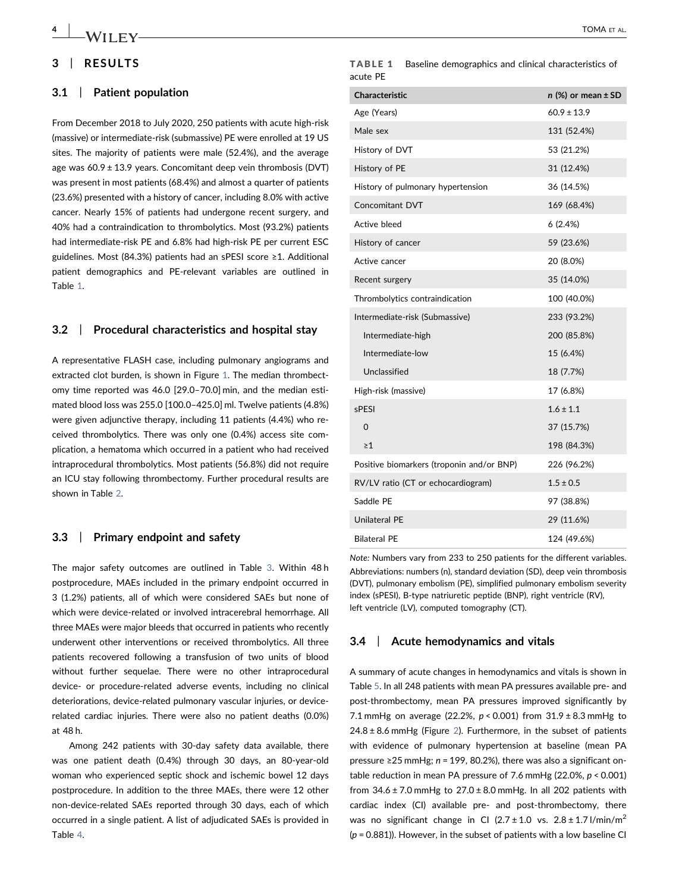## 3 | RESULTS

#### 3.1 | Patient population

From December 2018 to July 2020, 250 patients with acute high‐risk (massive) or intermediate‐risk (submassive) PE were enrolled at 19 US sites. The majority of patients were male (52.4%), and the average age was  $60.9 \pm 13.9$  years. Concomitant deep vein thrombosis (DVT) was present in most patients (68.4%) and almost a quarter of patients (23.6%) presented with a history of cancer, including 8.0% with active cancer. Nearly 15% of patients had undergone recent surgery, and 40% had a contraindication to thrombolytics. Most (93.2%) patients had intermediate‐risk PE and 6.8% had high‐risk PE per current ESC guidelines. Most (84.3%) patients had an sPESI score ≥1. Additional patient demographics and PE‐relevant variables are outlined in Table [1](#page-5-0).

#### 3.2 | Procedural characteristics and hospital stay

A representative FLASH case, including pulmonary angiograms and extracted clot burden, is shown in Figure [1.](#page-6-0) The median thrombectomy time reported was 46.0 [29.0–70.0] min, and the median estimated blood loss was 255.0 [100.0–425.0] ml. Twelve patients (4.8%) were given adjunctive therapy, including 11 patients (4.4%) who received thrombolytics. There was only one (0.4%) access site complication, a hematoma which occurred in a patient who had received intraprocedural thrombolytics. Most patients (56.8%) did not require an ICU stay following thrombectomy. Further procedural results are shown in Table [2](#page-6-1).

#### 3.3 | Primary endpoint and safety

The major safety outcomes are outlined in Table [3.](#page-6-2) Within 48 h postprocedure, MAEs included in the primary endpoint occurred in 3 (1.2%) patients, all of which were considered SAEs but none of which were device-related or involved intracerebral hemorrhage. All three MAEs were major bleeds that occurred in patients who recently underwent other interventions or received thrombolytics. All three patients recovered following a transfusion of two units of blood without further sequelae. There were no other intraprocedural device‐ or procedure‐related adverse events, including no clinical deteriorations, device‐related pulmonary vascular injuries, or device‐ related cardiac injuries. There were also no patient deaths (0.0%) at 48 h.

Among 242 patients with 30‐day safety data available, there was one patient death (0.4%) through 30 days, an 80‐year‐old woman who experienced septic shock and ischemic bowel 12 days postprocedure. In addition to the three MAEs, there were 12 other non‐device‐related SAEs reported through 30 days, each of which occurred in a single patient. A list of adjudicated SAEs is provided in Table [4](#page-7-0).

<span id="page-5-0"></span>

|          | <b>TABLE 1</b> Baseline demographics and clinical characteristics of |
|----------|----------------------------------------------------------------------|
| acute PE |                                                                      |

| <b>Characteristic</b>                     | $n$ (%) or mean $\pm$ SD |
|-------------------------------------------|--------------------------|
| Age (Years)                               | $60.9 \pm 13.9$          |
| Male sex                                  | 131 (52.4%)              |
| History of DVT                            | 53 (21.2%)               |
| History of PE                             | 31 (12.4%)               |
| History of pulmonary hypertension         | 36 (14.5%)               |
| Concomitant DVT                           | 169 (68.4%)              |
| Active bleed                              | 6(2.4%)                  |
| History of cancer                         | 59 (23.6%)               |
| Active cancer                             | 20 (8.0%)                |
| Recent surgery                            | 35 (14.0%)               |
| Thrombolytics contraindication            | 100 (40.0%)              |
| Intermediate-risk (Submassive)            | 233 (93.2%)              |
| Intermediate-high                         | 200 (85.8%)              |
| Intermediate-low                          | 15 (6.4%)                |
| Unclassified                              | 18 (7.7%)                |
| High-risk (massive)                       | 17 (6.8%)                |
| sPESI                                     | $1.6 \pm 1.1$            |
| 0                                         | 37 (15.7%)               |
| $\geq 1$                                  | 198 (84.3%)              |
| Positive biomarkers (troponin and/or BNP) | 226 (96.2%)              |
| RV/LV ratio (CT or echocardiogram)        | $1.5 \pm 0.5$            |
| Saddle PE                                 | 97 (38.8%)               |
| Unilateral PE                             | 29 (11.6%)               |
| <b>Bilateral PE</b>                       | 124 (49.6%)              |

Note: Numbers vary from 233 to 250 patients for the different variables. Abbreviations: numbers (n), standard deviation (SD), deep vein thrombosis (DVT), pulmonary embolism (PE), simplified pulmonary embolism severity index (sPESI), B‐type natriuretic peptide (BNP), right ventricle (RV), left ventricle (LV), computed tomography (CT).

#### 3.4 | Acute hemodynamics and vitals

A summary of acute changes in hemodynamics and vitals is shown in Table [5.](#page-8-0) In all 248 patients with mean PA pressures available pre‐ and post-thrombectomy, mean PA pressures improved significantly by 7.1 mmHg on average (22.2%,  $p < 0.001$ ) from  $31.9 \pm 8.3$  mmHg to  $24.8 \pm 8.6$  $24.8 \pm 8.6$  mmHg (Figure 2). Furthermore, in the subset of patients with evidence of pulmonary hypertension at baseline (mean PA pressure ≥25 mmHg; n = 199, 80.2%), there was also a significant ontable reduction in mean PA pressure of 7.6 mmHg (22.0%,  $p < 0.001$ ) from  $34.6 \pm 7.0$  mmHg to  $27.0 \pm 8.0$  mmHg. In all 202 patients with cardiac index (CI) available pre- and post-thrombectomy, there was no significant change in CI  $(2.7 \pm 1.0 \text{ vs. } 2.8 \pm 1.7 \text{ J/min/m}^2)$  $(p = 0.881)$ ). However, in the subset of patients with a low baseline CI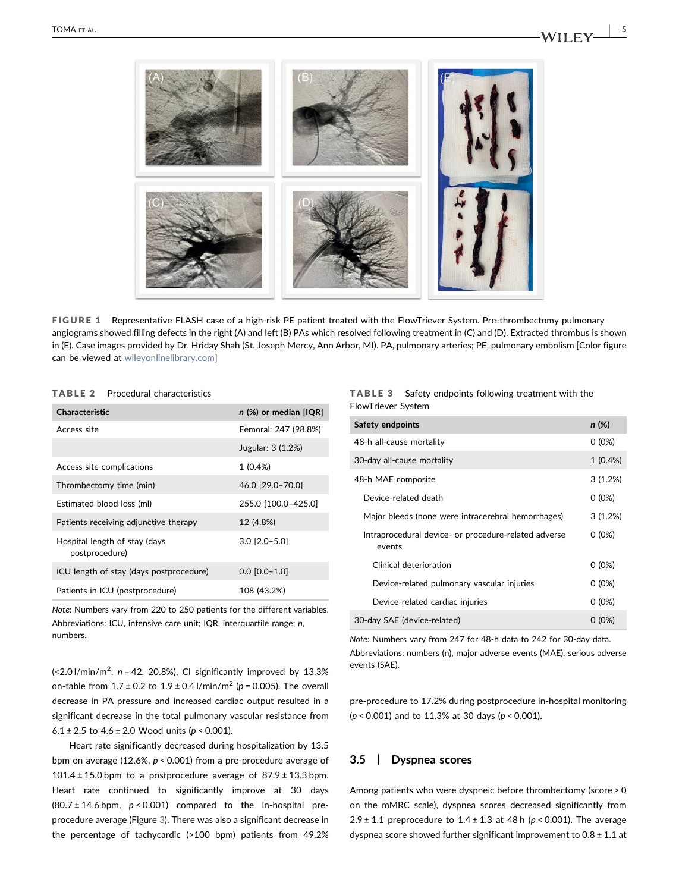<span id="page-6-0"></span>

FIGURE 1 Representative FLASH case of a high-risk PE patient treated with the FlowTriever System. Pre-thrombectomy pulmonary angiograms showed filling defects in the right (A) and left (B) PAs which resolved following treatment in (C) and (D). Extracted thrombus is shown in (E). Case images provided by Dr. Hriday Shah (St. Joseph Mercy, Ann Arbor, MI). PA, pulmonary arteries; PE, pulmonary embolism [Color figure can be viewed at [wileyonlinelibrary.com](http://wileyonlinelibrary.com)]

#### <span id="page-6-1"></span>TABLE 2 Procedural characteristics

| <b>Characteristic</b>                           | $n$ (%) or median [IQR] |
|-------------------------------------------------|-------------------------|
| Access site                                     | Femoral: 247 (98.8%)    |
|                                                 | Jugular: 3 (1.2%)       |
| Access site complications                       | $1(0.4\%)$              |
| Thrombectomy time (min)                         | 46.0 [29.0-70.0]        |
| Estimated blood loss (ml)                       | 255.0 [100.0-425.0]     |
| Patients receiving adjunctive therapy           | 12 (4.8%)               |
| Hospital length of stay (days<br>postprocedure) | $3.0$ [ $2.0 - 5.0$ ]   |
| ICU length of stay (days postprocedure)         | $0.0$ [0.0-1.0]         |
| Patients in ICU (postprocedure)                 | 108 (43.2%)             |

Note: Numbers vary from 220 to 250 patients for the different variables. Abbreviations: ICU, intensive care unit; IQR, interquartile range; n, numbers.

 $\left\langle \frac{2.0 \text{ I}}{\text{min}}/m^2\right\rangle$ ; n = 42, 20.8%), CI significantly improved by 13.3% on-table from  $1.7 \pm 0.2$  to  $1.9 \pm 0.4$  l/min/m<sup>2</sup> ( $p = 0.005$ ). The overall decrease in PA pressure and increased cardiac output resulted in a significant decrease in the total pulmonary vascular resistance from 6.1 ± 2.5 to  $4.6 \pm 2.0$  Wood units ( $p < 0.001$ ).

Heart rate significantly decreased during hospitalization by 13.5 bpm on average (12.6%,  $p < 0.001$ ) from a pre-procedure average of 101.4  $\pm$  15.0 bpm to a postprocedure average of 87.9  $\pm$  13.3 bpm. Heart rate continued to significantly improve at 30 days  $(80.7 \pm 14.6 \text{ bpm}, p < 0.001)$  compared to the in-hospital preprocedure average (Figure [3](#page-9-1)). There was also a significant decrease in the percentage of tachycardic (>100 bpm) patients from 49.2%

<span id="page-6-2"></span>

| <b>TABLE 3</b>     |  | Safety endpoints following treatment with the |  |
|--------------------|--|-----------------------------------------------|--|
| FlowTriever System |  |                                               |  |

| Safety endpoints                                               | n(%)       |
|----------------------------------------------------------------|------------|
| 48-h all-cause mortality                                       | $0(0\%)$   |
| 30-day all-cause mortality                                     | $1(0.4\%)$ |
| 48-h MAE composite                                             | 3(1.2%)    |
| Device-related death                                           | $0(0\%)$   |
| Major bleeds (none were intracerebral hemorrhages)             | 3(1.2%)    |
| Intraprocedural device- or procedure-related adverse<br>events | $0(0\%)$   |
| Clinical deterioration                                         | $0(0\%)$   |
| Device-related pulmonary vascular injuries                     | $0(0\%)$   |
| Device-related cardiac injuries                                | $0(0\%)$   |
| 30-day SAE (device-related)                                    | $0(0\%)$   |

Note: Numbers vary from 247 for 48‐h data to 242 for 30‐day data. Abbreviations: numbers (n), major adverse events (MAE), serious adverse events (SAE).

pre‐procedure to 17.2% during postprocedure in‐hospital monitoring  $(p < 0.001)$  and to 11.3% at 30 days ( $p < 0.001$ ).

## 3.5 | Dyspnea scores

Among patients who were dyspneic before thrombectomy (score > 0 on the mMRC scale), dyspnea scores decreased significantly from  $2.9 \pm 1.1$  preprocedure to  $1.4 \pm 1.3$  at 48 h (p < 0.001). The average dyspnea score showed further significant improvement to  $0.8 \pm 1.1$  at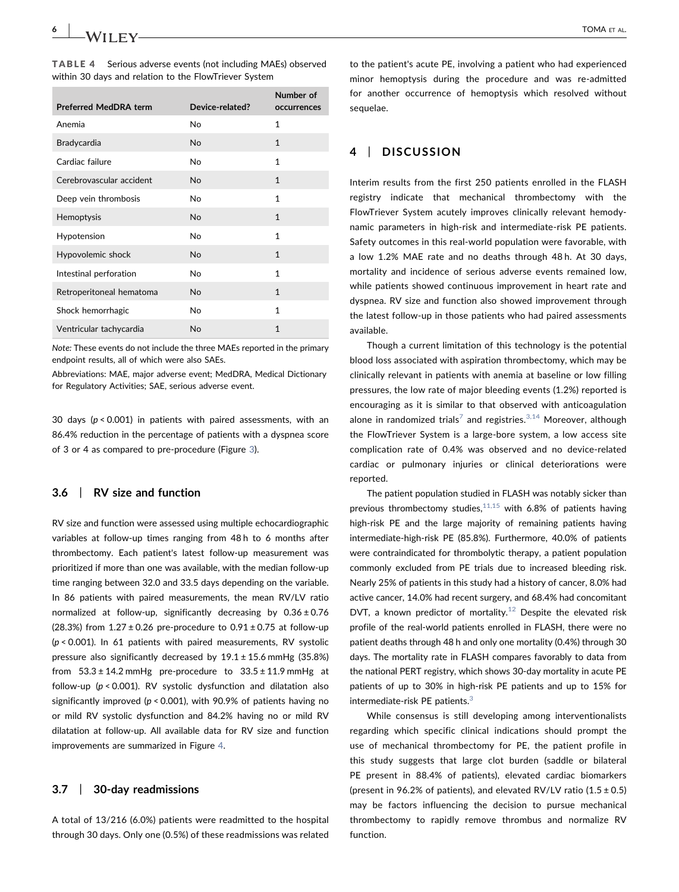<span id="page-7-0"></span>TABLE 4 Serious adverse events (not including MAEs) observed within 30 days and relation to the FlowTriever System

| <b>Preferred MedDRA term</b> | Device-related? | Number of<br>occurrences |
|------------------------------|-----------------|--------------------------|
| Anemia                       | No              | 1                        |
| Bradycardia                  | <b>No</b>       | $\mathbf{1}$             |
| Cardiac failure              | No              | 1                        |
| Cerebrovascular accident     | No              | $\mathbf{1}$             |
| Deep vein thrombosis         | No              | 1                        |
| Hemoptysis                   | <b>No</b>       | $\mathbf{1}$             |
| Hypotension                  | No              | 1                        |
| Hypovolemic shock            | <b>No</b>       | $\mathbf{1}$             |
| Intestinal perforation       | <b>No</b>       | 1                        |
| Retroperitoneal hematoma     | <b>No</b>       | $\mathbf{1}$             |
| Shock hemorrhagic            | No.             | $\mathbf{1}$             |
| Ventricular tachycardia      | No              | $\overline{1}$           |

Note: These events do not include the three MAEs reported in the primary endpoint results, all of which were also SAEs.

Abbreviations: MAE, major adverse event; MedDRA, Medical Dictionary for Regulatory Activities; SAE, serious adverse event.

30 days ( $p < 0.001$ ) in patients with paired assessments, with an 86.4% reduction in the percentage of patients with a dyspnea score of 3 or 4 as compared to pre‐procedure (Figure [3](#page-9-1)).

#### 3.6 | RV size and function

RV size and function were assessed using multiple echocardiographic variables at follow‐up times ranging from 48 h to 6 months after thrombectomy. Each patient's latest follow‐up measurement was prioritized if more than one was available, with the median follow‐up time ranging between 32.0 and 33.5 days depending on the variable. In 86 patients with paired measurements, the mean RV/LV ratio normalized at follow-up, significantly decreasing by  $0.36 \pm 0.76$ (28.3%) from  $1.27 \pm 0.26$  pre-procedure to  $0.91 \pm 0.75$  at follow-up  $(p < 0.001)$ . In 61 patients with paired measurements, RV systolic pressure also significantly decreased by  $19.1 \pm 15.6$  mmHg (35.8%) from  $53.3 \pm 14.2$  mmHg pre-procedure to  $33.5 \pm 11.9$  mmHg at follow-up ( $p < 0.001$ ). RV systolic dysfunction and dilatation also significantly improved ( $p < 0.001$ ), with 90.9% of patients having no or mild RV systolic dysfunction and 84.2% having no or mild RV dilatation at follow‐up. All available data for RV size and function improvements are summarized in Figure [4.](#page-10-0)

#### 3.7 | 30‐day readmissions

A total of 13/216 (6.0%) patients were readmitted to the hospital through 30 days. Only one (0.5%) of these readmissions was related

to the patient's acute PE, involving a patient who had experienced minor hemoptysis during the procedure and was re‐admitted for another occurrence of hemoptysis which resolved without sequelae.

## 4 | DISCUSSION

Interim results from the first 250 patients enrolled in the FLASH registry indicate that mechanical thrombectomy with the FlowTriever System acutely improves clinically relevant hemodynamic parameters in high‐risk and intermediate‐risk PE patients. Safety outcomes in this real‐world population were favorable, with a low 1.2% MAE rate and no deaths through 48 h. At 30 days, mortality and incidence of serious adverse events remained low, while patients showed continuous improvement in heart rate and dyspnea. RV size and function also showed improvement through the latest follow‐up in those patients who had paired assessments available.

Though a current limitation of this technology is the potential blood loss associated with aspiration thrombectomy, which may be clinically relevant in patients with anemia at baseline or low filling pressures, the low rate of major bleeding events (1.2%) reported is encouraging as it is similar to that observed with anticoagulation alone in randomized trials<sup>[7](#page-11-4)</sup> and registries.<sup>[3,14](#page-11-2)</sup> Moreover, although the FlowTriever System is a large‐bore system, a low access site complication rate of 0.4% was observed and no device‐related cardiac or pulmonary injuries or clinical deteriorations were reported.

The patient population studied in FLASH was notably sicker than previous thrombectomy studies,  $11,15$  with 6.8% of patients having high-risk PE and the large majority of remaining patients having intermediate‐high‐risk PE (85.8%). Furthermore, 40.0% of patients were contraindicated for thrombolytic therapy, a patient population commonly excluded from PE trials due to increased bleeding risk. Nearly 25% of patients in this study had a history of cancer, 8.0% had active cancer, 14.0% had recent surgery, and 68.4% had concomitant DVT, a known predictor of mortality.<sup>[12](#page-11-7)</sup> Despite the elevated risk profile of the real-world patients enrolled in FLASH, there were no patient deaths through 48 h and only one mortality (0.4%) through 30 days. The mortality rate in FLASH compares favorably to data from the national PERT registry, which shows 30‐day mortality in acute PE patients of up to 30% in high‐risk PE patients and up to 15% for intermediate-risk PE patients. $3$ 

While consensus is still developing among interventionalists regarding which specific clinical indications should prompt the use of mechanical thrombectomy for PE, the patient profile in this study suggests that large clot burden (saddle or bilateral PE present in 88.4% of patients), elevated cardiac biomarkers (present in 96.2% of patients), and elevated RV/LV ratio  $(1.5 \pm 0.5)$ may be factors influencing the decision to pursue mechanical thrombectomy to rapidly remove thrombus and normalize RV function.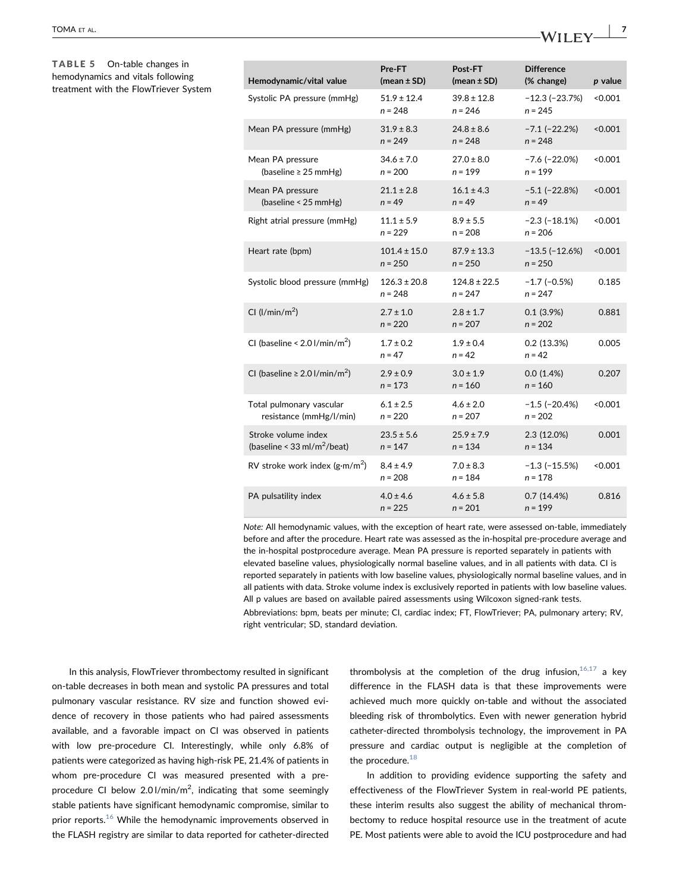<span id="page-8-0"></span>TABLE 5 On-table changes in hemodynamics and vitals following treatment with the FlowTriever System

| Hemodynamic/vital value                                          | Pre-FT<br>(mean $\pm$ SD)     | Post-FT<br>(mean $\pm$ SD)    | <b>Difference</b><br>(% change)   | p value |
|------------------------------------------------------------------|-------------------------------|-------------------------------|-----------------------------------|---------|
| Systolic PA pressure (mmHg)                                      | $51.9 \pm 12.4$<br>$n = 248$  | $39.8 \pm 12.8$<br>$n = 246$  | $-12.3(-23.7%)$<br>$n = 245$      | < 0.001 |
| Mean PA pressure (mmHg)                                          | $31.9 \pm 8.3$<br>$n = 249$   | $24.8 \pm 8.6$<br>$n = 248$   | $-7.1$ $(-22.2%)$<br>$n = 248$    | < 0.001 |
| Mean PA pressure<br>(baseline $\geq$ 25 mmHg)                    | $34.6 \pm 7.0$<br>$n = 200$   | $27.0 \pm 8.0$<br>$n = 199$   | $-7.6$ ( $-22.0%$ )<br>$n = 199$  | < 0.001 |
| Mean PA pressure<br>(baseline < 25 mmHg)                         | $21.1 \pm 2.8$<br>$n = 49$    | $16.1 \pm 4.3$<br>$n = 49$    | $-5.1$ ( $-22.8%$ )<br>$n = 49$   | < 0.001 |
| Right atrial pressure (mmHg)                                     | $11.1 \pm 5.9$<br>$n = 229$   | $8.9 \pm 5.5$<br>$n = 208$    | $-2.3$ ( $-18.1\%$ )<br>$n = 206$ | < 0.001 |
| Heart rate (bpm)                                                 | $101.4 \pm 15.0$<br>$n = 250$ | $87.9 \pm 13.3$<br>$n = 250$  | $-13.5(-12.6%)$<br>$n = 250$      | < 0.001 |
| Systolic blood pressure (mmHg)                                   | $126.3 \pm 20.8$<br>$n = 248$ | $124.8 \pm 22.5$<br>$n = 247$ | $-1.7$ ( $-0.5%$ )<br>$n = 247$   | 0.185   |
| CI ( $l/min/m2$ )                                                | $2.7 \pm 1.0$<br>$n = 220$    | $2.8 \pm 1.7$<br>$n = 207$    | 0.1(3.9%)<br>$n = 202$            | 0.881   |
| CI (baseline < $2.0$ l/min/m <sup>2</sup> )                      | $1.7 \pm 0.2$<br>$n = 47$     | $1.9 \pm 0.4$<br>$n = 42$     | 0.2(13.3%)<br>$n = 42$            | 0.005   |
| CI (baseline $\geq$ 2.0 l/min/m <sup>2</sup> )                   | $2.9 \pm 0.9$<br>$n = 173$    | $3.0 \pm 1.9$<br>$n = 160$    | 0.0(1.4%)<br>$n = 160$            | 0.207   |
| Total pulmonary vascular<br>resistance (mmHg/l/min)              | $6.1 \pm 2.5$<br>$n = 220$    | $4.6 \pm 2.0$<br>$n = 207$    | $-1.5$ ( $-20.4%$ )<br>$n = 202$  | < 0.001 |
| Stroke volume index<br>(baseline < $33$ ml/m <sup>2</sup> /beat) | $23.5 \pm 5.6$<br>$n = 147$   | $25.9 \pm 7.9$<br>$n = 134$   | 2.3 (12.0%)<br>$n = 134$          | 0.001   |
| RV stroke work index $(g\cdot m/m^2)$                            | $8.4 \pm 4.9$<br>$n = 208$    | $7.0 \pm 8.3$<br>$n = 184$    | $-1.3$ ( $-15.5%$ )<br>$n = 178$  | < 0.001 |
| PA pulsatility index                                             | $4.0 \pm 4.6$<br>$n = 225$    | $4.6 \pm 5.8$<br>$n = 201$    | 0.7(14.4%)<br>$n = 199$           | 0.816   |

Note: All hemodynamic values, with the exception of heart rate, were assessed on-table, immediately before and after the procedure. Heart rate was assessed as the in‐hospital pre‐procedure average and the in‐hospital postprocedure average. Mean PA pressure is reported separately in patients with elevated baseline values, physiologically normal baseline values, and in all patients with data. CI is reported separately in patients with low baseline values, physiologically normal baseline values, and in all patients with data. Stroke volume index is exclusively reported in patients with low baseline values. All p values are based on available paired assessments using Wilcoxon signed‐rank tests. Abbreviations: bpm, beats per minute; CI, cardiac index; FT, FlowTriever; PA, pulmonary artery; RV, right ventricular; SD, standard deviation.

In this analysis, FlowTriever thrombectomy resulted in significant on‐table decreases in both mean and systolic PA pressures and total pulmonary vascular resistance. RV size and function showed evidence of recovery in those patients who had paired assessments available, and a favorable impact on CI was observed in patients with low pre-procedure CI. Interestingly, while only 6.8% of patients were categorized as having high‐risk PE, 21.4% of patients in whom pre-procedure CI was measured presented with a preprocedure CI below 2.01/min/m<sup>2</sup>, indicating that some seemingly stable patients have significant hemodynamic compromise, similar to prior reports.<sup>[16](#page-11-9)</sup> While the hemodynamic improvements observed in the FLASH registry are similar to data reported for catheter‐directed

thrombolysis at the completion of the drug infusion,  $16,17$  a key difference in the FLASH data is that these improvements were achieved much more quickly on-table and without the associated bleeding risk of thrombolytics. Even with newer generation hybrid catheter-directed thrombolysis technology, the improvement in PA pressure and cardiac output is negligible at the completion of the procedure. $18$ 

In addition to providing evidence supporting the safety and effectiveness of the FlowTriever System in real‐world PE patients, these interim results also suggest the ability of mechanical thrombectomy to reduce hospital resource use in the treatment of acute PE. Most patients were able to avoid the ICU postprocedure and had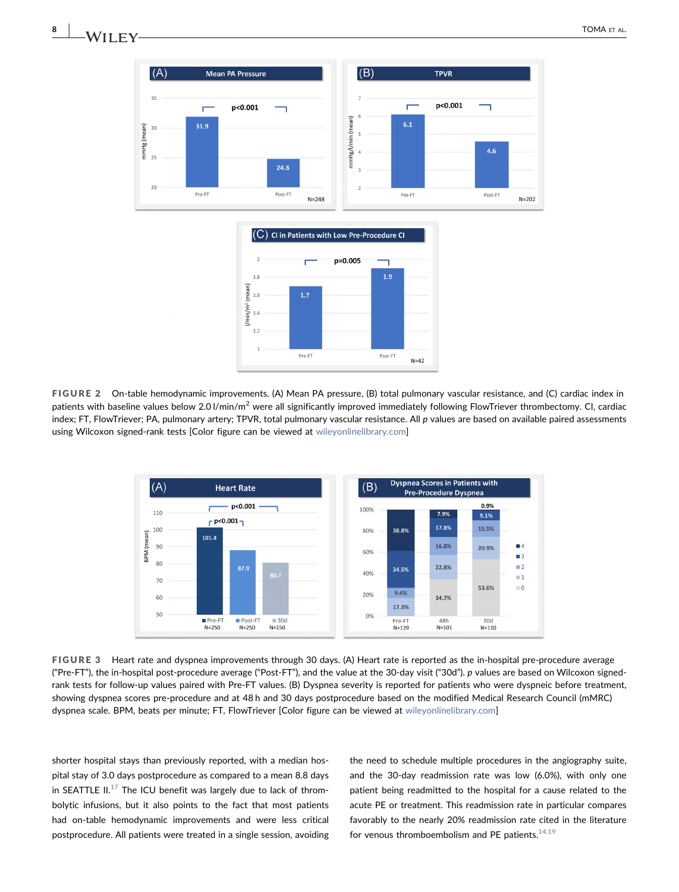



FIGURE 2 On-table hemodynamic improvements. (A) Mean PA pressure, (B) total pulmonary vascular resistance, and (C) cardiac index in patients with baseline values below 2.0 l/min/m<sup>2</sup> were all significantly improved immediately following FlowTriever thrombectomy. CI, cardiac index; FT, FlowTriever; PA, pulmonary artery; TPVR, total pulmonary vascular resistance. All p values are based on available paired assessments using Wilcoxon signed-rank tests [Color figure can be viewed at [wileyonlinelibrary.com](http://wileyonlinelibrary.com)]

<span id="page-9-1"></span>

FIGURE 3 Heart rate and dyspnea improvements through 30 days. (A) Heart rate is reported as the in-hospital pre-procedure average ("Pre‐FT"), the in‐hospital post‐procedure average ("Post‐FT"), and the value at the 30‐day visit ("30d"). p values are based on Wilcoxon signed‐ rank tests for follow-up values paired with Pre-FT values. (B) Dyspnea severity is reported for patients who were dyspneic before treatment, showing dyspnea scores pre‐procedure and at 48 h and 30 days postprocedure based on the modified Medical Research Council (mMRC) dyspnea scale. BPM, beats per minute; FT, FlowTriever [Color figure can be viewed at [wileyonlinelibrary.com\]](http://wileyonlinelibrary.com)

shorter hospital stays than previously reported, with a median hospital stay of 3.0 days postprocedure as compared to a mean 8.8 days in SEATTLE  $II^{17}$  $II^{17}$  $II^{17}$  The ICU benefit was largely due to lack of thrombolytic infusions, but it also points to the fact that most patients had on-table hemodynamic improvements and were less critical postprocedure. All patients were treated in a single session, avoiding

the need to schedule multiple procedures in the angiography suite, and the 30‐day readmission rate was low (6.0%), with only one patient being readmitted to the hospital for a cause related to the acute PE or treatment. This readmission rate in particular compares favorably to the nearly 20% readmission rate cited in the literature for venous thromboembolism and PE patients. $^{14,19}$  $^{14,19}$  $^{14,19}$ 

<span id="page-9-0"></span>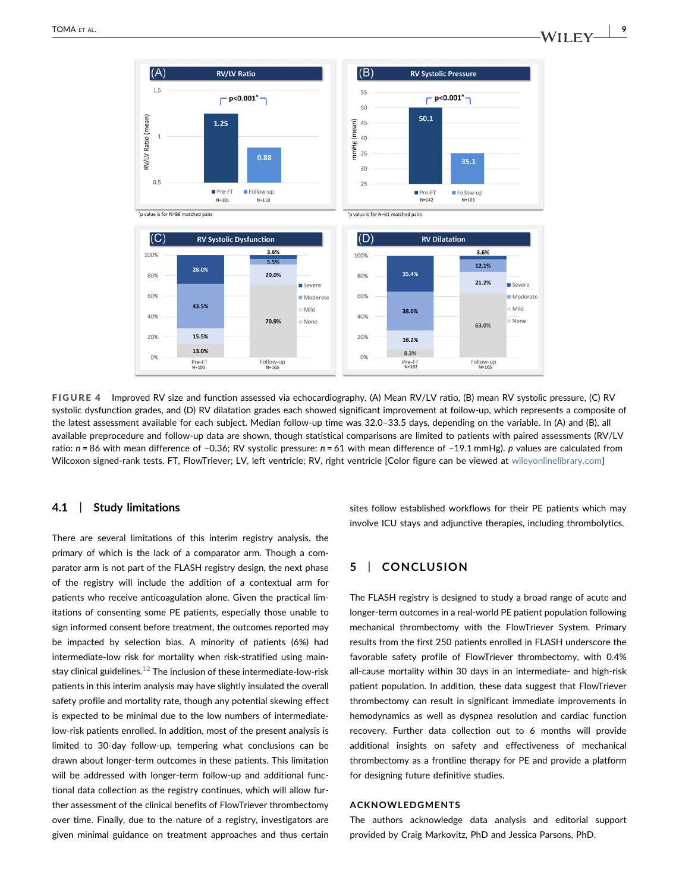

35.4%

38.0%

18.2%

 $8.3%$ 

Pre-FT<br>N=192

 $80%$ 

60%

40%

20%

0%

"p value is for N=86 matched pairs

28.0%

43.5%

15.5%

13.0%

Pre-F1<br>N=193

<span id="page-10-0"></span> $(A)$ 

 $1.5$ 

RV/LV Ratio (mean)

 $^{\circ}$ 

 $(C)$ 

100%

 $80%$ 

60%

40%

 $20%$ 

0%



5.5%

20.0%

70.9%

Follow-up<br>N=165

Sever

Milc

None

Modera

## 4.1 | Study limitations

There are several limitations of this interim registry analysis, the primary of which is the lack of a comparator arm. Though a comparator arm is not part of the FLASH registry design, the next phase of the registry will include the addition of a contextual arm for patients who receive anticoagulation alone. Given the practical limitations of consenting some PE patients, especially those unable to sign informed consent before treatment, the outcomes reported may be impacted by selection bias. A minority of patients (6%) had intermediate-low risk for mortality when risk-stratified using main-stay clinical guidelines.<sup>[12](#page-11-7)</sup> The inclusion of these intermediate-low-risk patients in this interim analysis may have slightly insulated the overall safety profile and mortality rate, though any potential skewing effect is expected to be minimal due to the low numbers of intermediate‐ low‐risk patients enrolled. In addition, most of the present analysis is limited to 30‐day follow‐up, tempering what conclusions can be drawn about longer‐term outcomes in these patients. This limitation will be addressed with longer-term follow-up and additional functional data collection as the registry continues, which will allow further assessment of the clinical benefits of FlowTriever thrombectomy over time. Finally, due to the nature of a registry, investigators are given minimal guidance on treatment approaches and thus certain

sites follow established workflows for their PE patients which may involve ICU stays and adjunctive therapies, including thrombolytics.

12.1%

21.2%

63.0%

Follow-up<br>N=165

Covers

Mild

None

Moderate

## 5 | CONCLUSION

The FLASH registry is designed to study a broad range of acute and longer‐term outcomes in a real‐world PE patient population following mechanical thrombectomy with the FlowTriever System. Primary results from the first 250 patients enrolled in FLASH underscore the favorable safety profile of FlowTriever thrombectomy, with 0.4% all-cause mortality within 30 days in an intermediate- and high-risk patient population. In addition, these data suggest that FlowTriever thrombectomy can result in significant immediate improvements in hemodynamics as well as dyspnea resolution and cardiac function recovery. Further data collection out to 6 months will provide additional insights on safety and effectiveness of mechanical thrombectomy as a frontline therapy for PE and provide a platform for designing future definitive studies.

#### ACKNOWLEDGMENTS

The authors acknowledge data analysis and editorial support provided by Craig Markovitz, PhD and Jessica Parsons, PhD.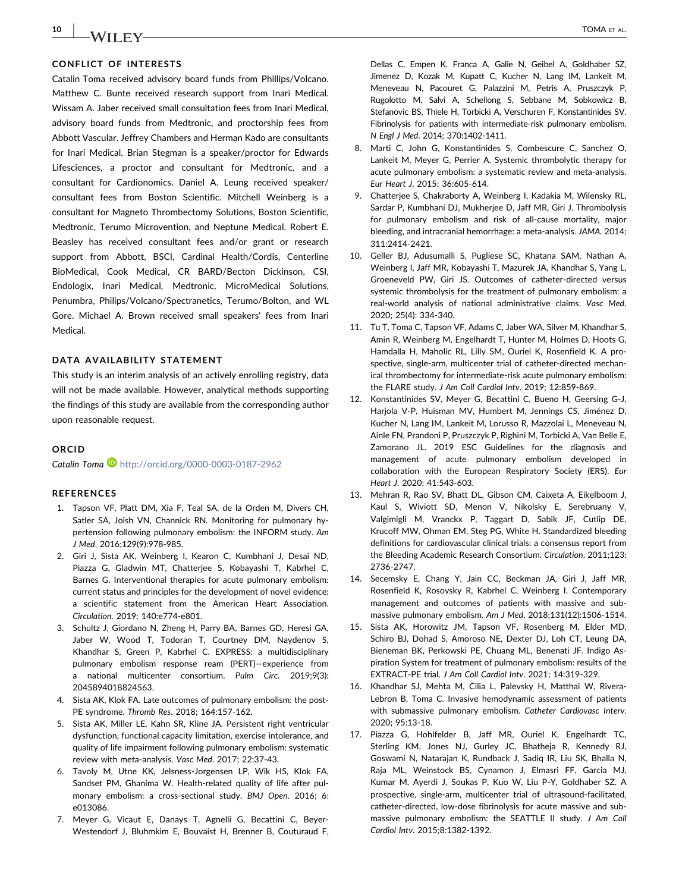## CONFLICT OF INTERESTS

Catalin Toma received advisory board funds from Phillips/Volcano. Matthew C. Bunte received research support from Inari Medical. Wissam A. Jaber received small consultation fees from Inari Medical, advisory board funds from Medtronic, and proctorship fees from Abbott Vascular. Jeffrey Chambers and Herman Kado are consultants for Inari Medical. Brian Stegman is a speaker/proctor for Edwards Lifesciences, a proctor and consultant for Medtronic, and a consultant for Cardionomics. Daniel A. Leung received speaker/ consultant fees from Boston Scientific. Mitchell Weinberg is a consultant for Magneto Thrombectomy Solutions, Boston Scientific, Medtronic, Terumo Microvention, and Neptune Medical. Robert E. Beasley has received consultant fees and/or grant or research support from Abbott, BSCI, Cardinal Health/Cordis, Centerline BioMedical, Cook Medical, CR BARD/Becton Dickinson, CSI, Endologix, Inari Medical, Medtronic, MicroMedical Solutions, Penumbra, Philips/Volcano/Spectranetics, Terumo/Bolton, and WL Gore. Michael A. Brown received small speakers' fees from Inari Medical.

#### DATA AVAILABILITY STATEMENT

This study is an interim analysis of an actively enrolling registry, data will not be made available. However, analytical methods supporting the findings of this study are available from the corresponding author upon reasonable request.

#### **ORCID**

Catalin Toma <http://orcid.org/0000-0003-0187-2962>

#### REFERENCES

- <span id="page-11-0"></span>1. Tapson VF, Platt DM, Xia F, Teal SA, de la Orden M, Divers CH, Satler SA, Joish VN, Channick RN. Monitoring for pulmonary hypertension following pulmonary embolism: the INFORM study. Am J Med. 2016;129(9):978‐985.
- <span id="page-11-1"></span>2. Giri J, Sista AK, Weinberg I, Kearon C, Kumbhani J, Desai ND, Piazza G, Gladwin MT, Chatterjee S, Kobayashi T, Kabrhel C, Barnes G. Interventional therapies for acute pulmonary embolism: current status and principles for the development of novel evidence: a scientific statement from the American Heart Association. Circulation. 2019; 140:e774‐e801.
- <span id="page-11-2"></span>3. Schultz J, Giordano N, Zheng H, Parry BA, Barnes GD, Heresi GA, Jaber W, Wood T, Todoran T, Courtney DM, Naydenov S, Khandhar S, Green P, Kabrhel C. EXPRESS: a multidisciplinary pulmonary embolism response ream (PERT)—experience from a national multicenter consortium. Pulm Circ. 2019;9(3): 2045894018824563.
- <span id="page-11-3"></span>4. Sista AK, Klok FA. Late outcomes of pulmonary embolism: the post-PE syndrome. Thromb Res. 2018; 164:157‐162.
- 5. Sista AK, Miller LE, Kahn SR, Kline JA. Persistent right ventricular dysfunction, functional capacity limitation, exercise intolerance, and quality of life impairment following pulmonary embolism: systematic review with meta‐analysis. Vasc Med. 2017; 22:37‐43.
- 6. Tavoly M, Utne KK, Jelsness‐Jorgensen LP, Wik HS, Klok FA, Sandset PM, Ghanima W. Health-related quality of life after pulmonary embolism: a cross-sectional study. BMJ Open. 2016; 6: e013086.
- <span id="page-11-4"></span>7. Meyer G, Vicaut E, Danays T, Agnelli G, Becattini C, Beyer‐ Westendorf J, Bluhmkim E, Bouvaist H, Brenner B, Couturaud F,

Dellas C, Empen K, Franca A, Galie N, Geibel A, Goldhaber SZ, Jimenez D, Kozak M, Kupatt C, Kucher N, Lang IM, Lankeit M, Meneveau N, Pacouret G, Palazzini M, Petris A, Pruszczyk P, Rugolotto M, Salvi A, Schellong S, Sebbane M, Sobkowicz B, Stefanovic BS, Thiele H, Torbicki A, Verschuren F, Konstantinides SV. Fibrinolysis for patients with intermediate‐risk pulmonary embolism. N Engl J Med. 2014; 370:1402‐1411.

- <span id="page-11-5"></span>8. Marti C, John G, Konstantinides S, Combescure C, Sanchez O, Lankeit M, Meyer G, Perrier A. Systemic thrombolytic therapy for acute pulmonary embolism: a systematic review and meta‐analysis. Eur Heart J. 2015; 36:605‐614.
- 9. Chatterjee S, Chakraborty A, Weinberg I, Kadakia M, Wilensky RL, Sardar P, Kumbhani DJ, Mukherjee D, Jaff MR, Giri J. Thrombolysis for pulmonary embolism and risk of all-cause mortality, major bleeding, and intracranial hemorrhage: a meta‐analysis. JAMA. 2014; 311:2414‐2421.
- 10. Geller BJ, Adusumalli S, Pugliese SC, Khatana SAM, Nathan A, Weinberg I, Jaff MR, Kobayashi T, Mazurek JA, Khandhar S, Yang L, Groeneveld PW, Giri JS. Outcomes of catheter‐directed versus systemic thrombolysis for the treatment of pulmonary embolism: a real‐world analysis of national administrative claims. Vasc Med. 2020; 25(4): 334‐340.
- <span id="page-11-6"></span>11. Tu T, Toma C, Tapson VF, Adams C, Jaber WA, Silver M, Khandhar S, Amin R, Weinberg M, Engelhardt T, Hunter M, Holmes D, Hoots G, Hamdalla H, Maholic RL, Lilly SM, Ouriel K, Rosenfield K. A prospective, single-arm, multicenter trial of catheter-directed mechanical thrombectomy for intermediate‐risk acute pulmonary embolism: the FLARE study. J Am Coll Cardiol Intv. 2019; 12:859‐869.
- <span id="page-11-7"></span>12. Konstantinides SV, Meyer G, Becattini C, Bueno H, Geersing G‐J, Harjola V‐P, Huisman MV, Humbert M, Jennings CS, Jiménez D, Kucher N, Lang IM, Lankeit M, Lorusso R, Mazzolai L, Meneveau N, Ainle FN, Prandoni P, Pruszczyk P, Righini M, Torbicki A, Van Belle E, Zamorano JL. 2019 ESC Guidelines for the diagnosis and management of acute pulmonary embolism developed in collaboration with the European Respiratory Society (ERS). Eur Heart J. 2020; 41:543‐603.
- <span id="page-11-8"></span>13. Mehran R, Rao SV, Bhatt DL, Gibson CM, Caixeta A, Eikelboom J, Kaul S, Wiviott SD, Menon V, Nikolsky E, Serebruany V, Valgimigli M, Vranckx P, Taggart D, Sabik JF, Cutlip DE, Krucoff MW, Ohman EM, Steg PG, White H. Standardized bleeding definitions for cardiovascular clinical trials: a consensus report from the Bleeding Academic Research Consortium. Circulation. 2011;123: 2736‐2747.
- <span id="page-11-11"></span>14. Secemsky E, Chang Y, Jain CC, Beckman JA, Giri J, Jaff MR, Rosenfield K, Rosovsky R, Kabrhel C, Weinberg I. Contemporary management and outcomes of patients with massive and submassive pulmonary embolism. Am J Med. 2018;131(12):1506‐1514.
- 15. Sista AK, Horowitz JM, Tapson VF, Rosenberg M, Elder MD, Schiro BJ, Dohad S, Amoroso NE, Dexter DJ, Loh CT, Leung DA, Bieneman BK, Perkowski PE, Chuang ML, Benenati JF. Indigo Aspiration System for treatment of pulmonary embolism: results of the EXTRACT‐PE trial. J Am Coll Cardiol Intv. 2021; 14:319‐329.
- <span id="page-11-9"></span>16. Khandhar SJ, Mehta M, Cilia L, Palevsky H, Matthai W, Rivera‐ Lebron B, Toma C. Invasive hemodynamic assessment of patients with submassive pulmonary embolism. Catheter Cardiovasc Interv. 2020; 95:13‐18.
- <span id="page-11-10"></span>17. Piazza G, Hohlfelder B, Jaff MR, Ouriel K, Engelhardt TC, Sterling KM, Jones NJ, Gurley JC, Bhatheja R, Kennedy RJ, Goswami N, Natarajan K, Rundback J, Sadiq IR, Liu SK, Bhalla N, Raja ML, Weinstock BS, Cynamon J, Elmasri FF, Garcia MJ, Kumar M, Ayerdi J, Soukas P, Kuo W, Liu P‐Y, Goldhaber SZ. A prospective, single‐arm, multicenter trial of ultrasound‐facilitated, catheter‐directed, low‐dose fibrinolysis for acute massive and submassive pulmonary embolism: the SEATTLE II study. J Am Coll Cardiol Intv. 2015;8:1382‐1392.